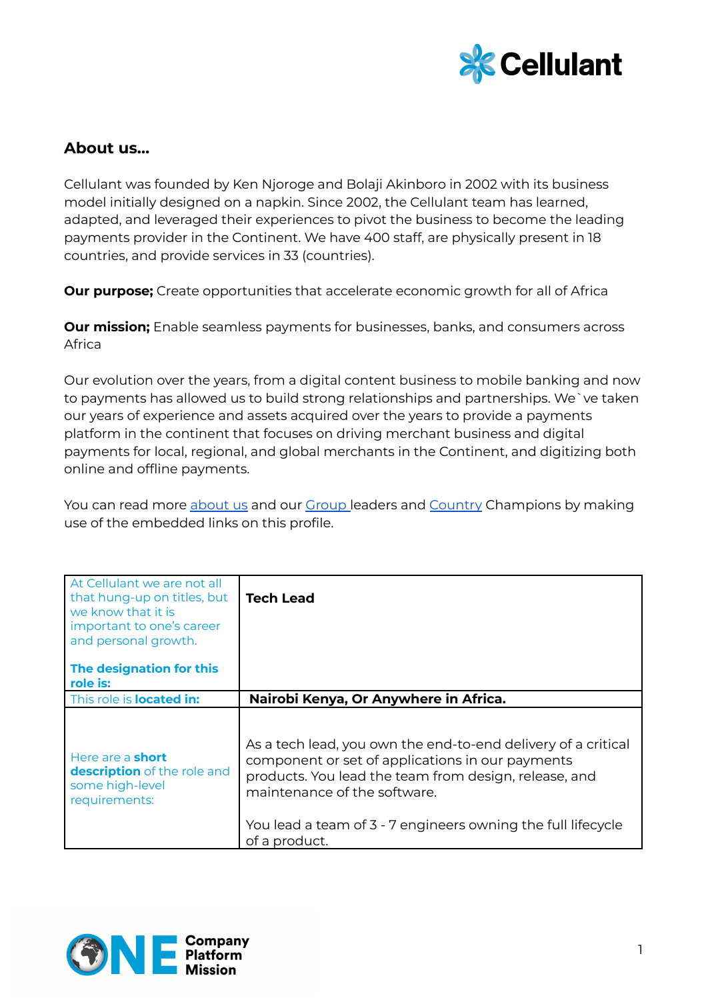

## **About us…**

Cellulant was founded by Ken Njoroge and Bolaji Akinboro in 2002 with its business model initially designed on a napkin. Since 2002, the Cellulant team has learned, adapted, and leveraged their experiences to pivot the business to become the leading payments provider in the Continent. We have 400 staff, are physically present in 18 countries, and provide services in 33 (countries).

**Our purpose;** Create opportunities that accelerate economic growth for all of Africa

**Our mission;** Enable seamless payments for businesses, banks, and consumers across Africa

Our evolution over the years, from a digital content business to mobile banking and now to payments has allowed us to build strong relationships and partnerships. We`ve taken our years of experience and assets acquired over the years to provide a payments platform in the continent that focuses on driving merchant business and digital payments for local, regional, and global merchants in the Continent, and digitizing both online and offline payments.

You can read more [about](https://cellulant.io/) us and our [Group](https://cellulant.io/our-people/) leaders and [Country](https://cellulant.io/our-people/) Champions by making use of the embedded links on this profile.

| At Cellulant we are not all<br>that hung-up on titles, but<br>we know that it is<br>important to one's career<br>and personal growth. | <b>Tech Lead</b>                                                                                                                                                                                                                                                                            |
|---------------------------------------------------------------------------------------------------------------------------------------|---------------------------------------------------------------------------------------------------------------------------------------------------------------------------------------------------------------------------------------------------------------------------------------------|
| The designation for this<br>role is:                                                                                                  |                                                                                                                                                                                                                                                                                             |
| This role is <b>located in:</b>                                                                                                       | Nairobi Kenya, Or Anywhere in Africa.                                                                                                                                                                                                                                                       |
| Here are a <b>short</b><br>description of the role and<br>some high-level<br>requirements:                                            | As a tech lead, you own the end-to-end delivery of a critical<br>component or set of applications in our payments<br>products. You lead the team from design, release, and<br>maintenance of the software.<br>You lead a team of 3 - 7 engineers owning the full lifecycle<br>of a product. |

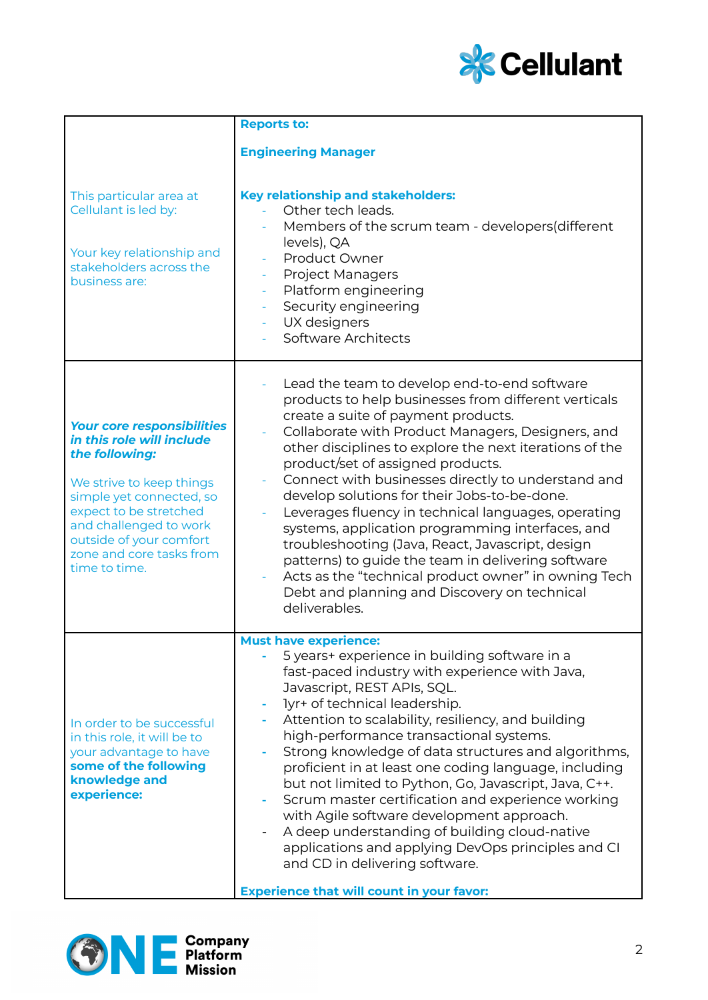

|                                                                                                                                                                                                                                                                      | <b>Reports to:</b>                                                                                                                                                                                                                                                                                                                                                                                                                                                                                                                                                                                                                                                                                                                                                       |
|----------------------------------------------------------------------------------------------------------------------------------------------------------------------------------------------------------------------------------------------------------------------|--------------------------------------------------------------------------------------------------------------------------------------------------------------------------------------------------------------------------------------------------------------------------------------------------------------------------------------------------------------------------------------------------------------------------------------------------------------------------------------------------------------------------------------------------------------------------------------------------------------------------------------------------------------------------------------------------------------------------------------------------------------------------|
|                                                                                                                                                                                                                                                                      | <b>Engineering Manager</b>                                                                                                                                                                                                                                                                                                                                                                                                                                                                                                                                                                                                                                                                                                                                               |
| This particular area at<br>Cellulant is led by:<br>Your key relationship and<br>stakeholders across the<br>business are:                                                                                                                                             | <b>Key relationship and stakeholders:</b><br>Other tech leads.<br>Members of the scrum team - developers (different<br>levels), QA<br>Product Owner<br><b>Project Managers</b><br>Platform engineering<br>Security engineering<br>UX designers<br>Software Architects                                                                                                                                                                                                                                                                                                                                                                                                                                                                                                    |
| <b>Your core responsibilities</b><br>in this role will include<br>the following:<br>We strive to keep things<br>simple yet connected, so<br>expect to be stretched<br>and challenged to work<br>outside of your comfort<br>zone and core tasks from<br>time to time. | Lead the team to develop end-to-end software<br>products to help businesses from different verticals<br>create a suite of payment products.<br>Collaborate with Product Managers, Designers, and<br>other disciplines to explore the next iterations of the<br>product/set of assigned products.<br>Connect with businesses directly to understand and<br>develop solutions for their Jobs-to-be-done.<br>Leverages fluency in technical languages, operating<br>systems, application programming interfaces, and<br>troubleshooting (Java, React, Javascript, design<br>patterns) to guide the team in delivering software<br>Acts as the "technical product owner" in owning Tech<br>Debt and planning and Discovery on technical<br>deliverables.                     |
| In order to be successful<br>in this role, it will be to<br>your advantage to have<br>some of the following<br>knowledge and<br>experience:                                                                                                                          | <b>Must have experience:</b><br>5 years+ experience in building software in a<br>fast-paced industry with experience with Java,<br>Javascript, REST APIs, SQL.<br>lyr+ of technical leadership.<br>Attention to scalability, resiliency, and building<br>high-performance transactional systems.<br>Strong knowledge of data structures and algorithms,<br>proficient in at least one coding language, including<br>but not limited to Python, Go, Javascript, Java, C++.<br>Scrum master certification and experience working<br>with Agile software development approach.<br>A deep understanding of building cloud-native<br>applications and applying DevOps principles and CI<br>and CD in delivering software.<br><b>Experience that will count in your favor:</b> |

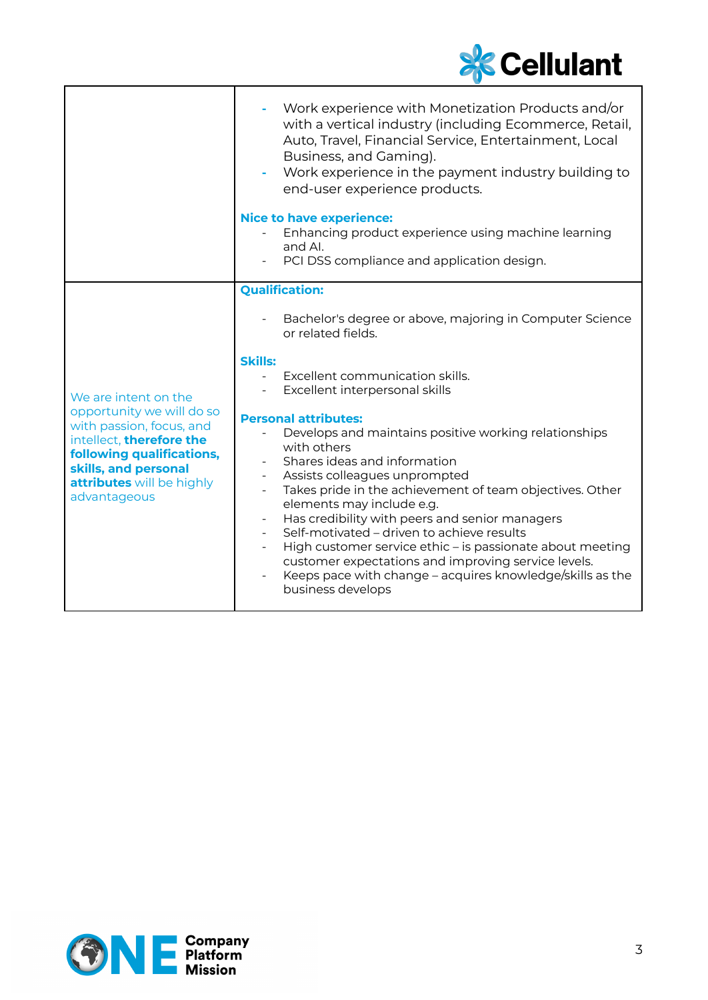

|                                                                                                                                                                                                             | Work experience with Monetization Products and/or<br>with a vertical industry (including Ecommerce, Retail,<br>Auto, Travel, Financial Service, Entertainment, Local<br>Business, and Gaming).<br>Work experience in the payment industry building to<br>end-user experience products.                                                                                                                                                                                                                                                                                                                                                                                           |
|-------------------------------------------------------------------------------------------------------------------------------------------------------------------------------------------------------------|----------------------------------------------------------------------------------------------------------------------------------------------------------------------------------------------------------------------------------------------------------------------------------------------------------------------------------------------------------------------------------------------------------------------------------------------------------------------------------------------------------------------------------------------------------------------------------------------------------------------------------------------------------------------------------|
|                                                                                                                                                                                                             | <b>Nice to have experience:</b><br>Enhancing product experience using machine learning<br>and Al.<br>PCI DSS compliance and application design.                                                                                                                                                                                                                                                                                                                                                                                                                                                                                                                                  |
|                                                                                                                                                                                                             | <b>Qualification:</b><br>Bachelor's degree or above, majoring in Computer Science                                                                                                                                                                                                                                                                                                                                                                                                                                                                                                                                                                                                |
| We are intent on the<br>opportunity we will do so<br>with passion, focus, and<br>intellect, therefore the<br>following qualifications,<br>skills, and personal<br>attributes will be highly<br>advantageous | or related fields.<br><b>Skills:</b><br>Excellent communication skills.<br>Excellent interpersonal skills<br><b>Personal attributes:</b><br>Develops and maintains positive working relationships<br>with others<br>Shares ideas and information<br>Assists colleagues unprompted<br>Takes pride in the achievement of team objectives. Other<br>elements may include e.g.<br>Has credibility with peers and senior managers<br>Self-motivated - driven to achieve results<br>High customer service ethic - is passionate about meeting<br>customer expectations and improving service levels.<br>Keeps pace with change – acquires knowledge/skills as the<br>business develops |

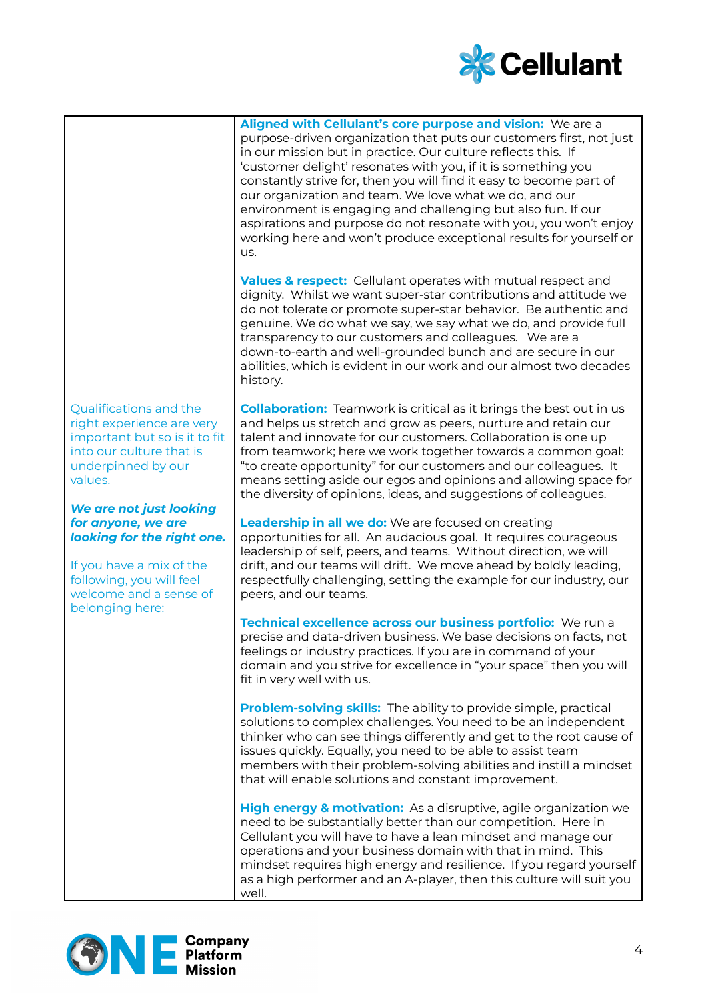

**Aligned with Cellulant's core purpose and vision:** We are a purpose-driven organization that puts our customers first, not just in our mission but in practice. Our culture reflects this. If 'customer delight' resonates with you, if it is something you constantly strive for, then you will find it easy to become part of our organization and team. We love what we do, and our environment is engaging and challenging but also fun. If our aspirations and purpose do not resonate with you, you won't enjoy working here and won't produce exceptional results for yourself or us.

**Values & respect:** Cellulant operates with mutual respect and dignity. Whilst we want super-star contributions and attitude we do not tolerate or promote super-star behavior. Be authentic and genuine. We do what we say, we say what we do, and provide full transparency to our customers and colleagues. We are a down-to-earth and well-grounded bunch and are secure in our abilities, which is evident in our work and our almost two decades history.

Qualifications and the right experience are very important but so is it to fit into our culture that is underpinned by our values.

## *We are not just looking for anyone, we are looking for the right one.*

If you have a mix of the following, you will feel welcome and a sense of belonging here:

**Collaboration:** Teamwork is critical as it brings the best out in us and helps us stretch and grow as peers, nurture and retain our talent and innovate for our customers. Collaboration is one up from teamwork; here we work together towards a common goal: "to create opportunity" for our customers and our colleagues. It means setting aside our egos and opinions and allowing space for the diversity of opinions, ideas, and suggestions of colleagues.

**Leadership in all we do:** We are focused on creating opportunities for all. An audacious goal. It requires courageous leadership of self, peers, and teams. Without direction, we will drift, and our teams will drift. We move ahead by boldly leading, respectfully challenging, setting the example for our industry, our peers, and our teams.

**Technical excellence across our business portfolio:** We run a precise and data-driven business. We base decisions on facts, not feelings or industry practices. If you are in command of your domain and you strive for excellence in "your space" then you will fit in very well with us.

**Problem-solving skills:** The ability to provide simple, practical solutions to complex challenges. You need to be an independent thinker who can see things differently and get to the root cause of issues quickly. Equally, you need to be able to assist team members with their problem-solving abilities and instill a mindset that will enable solutions and constant improvement.

**High energy & motivation:** As a disruptive, agile organization we need to be substantially better than our competition. Here in Cellulant you will have to have a lean mindset and manage our operations and your business domain with that in mind. This mindset requires high energy and resilience. If you regard yourself as a high performer and an A-player, then this culture will suit you well.